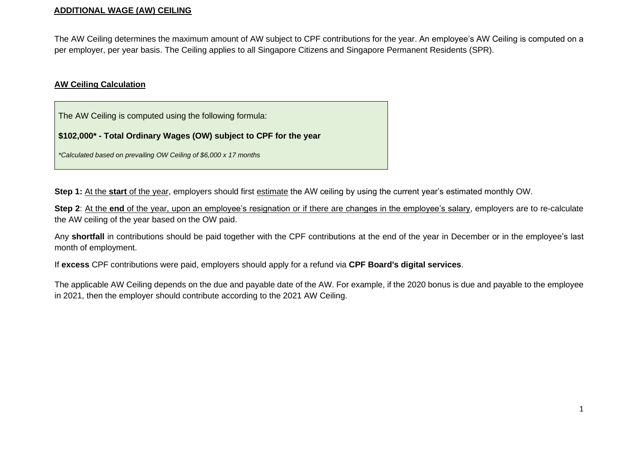#### **ADDITIONAL WAGE (AW) CEILING**

The AW Ceiling determines the maximum amount of AW subject to CPF contributions for the year. An employee's AW Ceiling is computed on a per employer, per year basis. The Ceiling applies to all Singapore Citizens and Singapore Permanent Residents (SPR).

#### **AW Ceiling Calculation**

The AW Ceiling is computed using the following formula:

**\$102,000\* - Total Ordinary Wages (OW) subject to CPF for the year** 

*\*Calculated based on prevailing OW Ceiling of \$6,000 x 17 months* 

**Step 1:** At the **start** of the year, employers should first estimate the AW ceiling by using the current year's estimated monthly OW.

**Step 2:** At the **end** of the year, upon an employee's resignation or if there are changes in the employee's salary, employers are to re-calculate the AW ceiling of the year based on the OW paid.

Any **shortfall** in contributions should be paid together with the CPF contributions at the end of the year in December or in the employee's last month of employment.

If **excess** CPF contributions were paid, employers should apply for a refund via **CPF Board's digital services**.

The applicable AW Ceiling depends on the due and payable date of the AW. For example, if the 2020 bonus is due and payable to the employee in 2021, then the employer should contribute according to the 2021 AW Ceiling.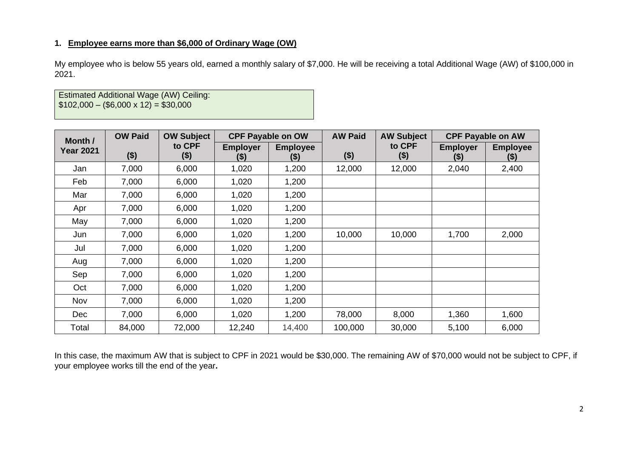# **1. Employee earns more than \$6,000 of Ordinary Wage (OW)**

My employee who is below 55 years old, earned a monthly salary of \$7,000. He will be receiving a total Additional Wage (AW) of \$100,000 in 2021.

Estimated Additional Wage (AW) Ceiling:  $$102,000 - ($6,000 \times 12) = $30,000$ 

| Month /          | <b>OW Paid</b> | <b>OW Subject</b> |                         | <b>CPF Payable on OW</b> | <b>AW Paid</b> | <b>AW Subject</b> |                            | <b>CPF Payable on AW</b>   |
|------------------|----------------|-------------------|-------------------------|--------------------------|----------------|-------------------|----------------------------|----------------------------|
| <b>Year 2021</b> | $($ \$)        | to CPF<br>$($ \$) | <b>Employer</b><br>(\$) | <b>Employee</b><br>(\$)  | $($ \$)        | to CPF<br>$($ \$) | <b>Employer</b><br>$($ \$) | <b>Employee</b><br>$($ \$) |
| Jan              | 7,000          | 6,000             | 1,020                   | 1,200                    | 12,000         | 12,000            | 2,040                      | 2,400                      |
| Feb              | 7,000          | 6,000             | 1,020                   | 1,200                    |                |                   |                            |                            |
| Mar              | 7,000          | 6,000             | 1,020                   | 1,200                    |                |                   |                            |                            |
| Apr              | 7,000          | 6,000             | 1,020                   | 1,200                    |                |                   |                            |                            |
| May              | 7,000          | 6,000             | 1,020                   | 1,200                    |                |                   |                            |                            |
| Jun              | 7,000          | 6,000             | 1,020                   | 1,200                    | 10,000         | 10,000            | 1,700                      | 2,000                      |
| Jul              | 7,000          | 6,000             | 1,020                   | 1,200                    |                |                   |                            |                            |
| Aug              | 7,000          | 6,000             | 1,020                   | 1,200                    |                |                   |                            |                            |
| Sep              | 7,000          | 6,000             | 1,020                   | 1,200                    |                |                   |                            |                            |
| Oct              | 7,000          | 6,000             | 1,020                   | 1,200                    |                |                   |                            |                            |
| Nov              | 7,000          | 6,000             | 1,020                   | 1,200                    |                |                   |                            |                            |
| <b>Dec</b>       | 7,000          | 6,000             | 1,020                   | 1,200                    | 78,000         | 8,000             | 1,360                      | 1,600                      |
| Total            | 84,000         | 72,000            | 12,240                  | 14,400                   | 100,000        | 30,000            | 5,100                      | 6,000                      |

In this case, the maximum AW that is subject to CPF in 2021 would be \$30,000. The remaining AW of \$70,000 would not be subject to CPF, if your employee works till the end of the year**.**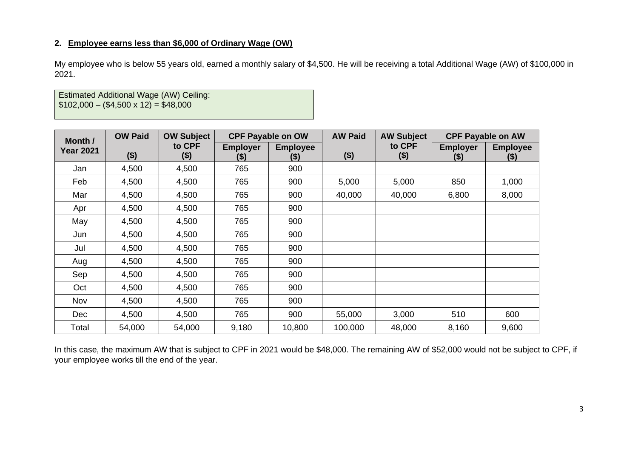### **2. Employee earns less than \$6,000 of Ordinary Wage (OW)**

My employee who is below 55 years old, earned a monthly salary of \$4,500. He will be receiving a total Additional Wage (AW) of \$100,000 in 2021.

Estimated Additional Wage (AW) Ceiling:  $$102,000 - ($4,500 \times 12) = $48,000$ 

| Month /          | <b>OW Paid</b> | <b>OW Subject</b> |                            | <b>CPF Payable on OW</b>   | <b>AW Paid</b> | <b>AW Subject</b> |                            | <b>CPF Payable on AW</b>  |
|------------------|----------------|-------------------|----------------------------|----------------------------|----------------|-------------------|----------------------------|---------------------------|
| <b>Year 2021</b> | ( \$)          | to CPF<br>$($ \$) | <b>Employer</b><br>$($ \$) | <b>Employee</b><br>$($ \$) | $($ \$)        | to CPF<br>$($ \$) | <b>Employer</b><br>$($ \$) | <b>Employee</b><br>$(\$)$ |
| Jan              | 4,500          | 4,500             | 765                        | 900                        |                |                   |                            |                           |
| Feb              | 4,500          | 4,500             | 765                        | 900                        | 5,000          | 5,000             | 850                        | 1,000                     |
| Mar              | 4,500          | 4,500             | 765                        | 900                        | 40,000         | 40,000            | 6,800                      | 8,000                     |
| Apr              | 4,500          | 4,500             | 765                        | 900                        |                |                   |                            |                           |
| May              | 4,500          | 4,500             | 765                        | 900                        |                |                   |                            |                           |
| Jun              | 4,500          | 4,500             | 765                        | 900                        |                |                   |                            |                           |
| Jul              | 4,500          | 4,500             | 765                        | 900                        |                |                   |                            |                           |
| Aug              | 4,500          | 4,500             | 765                        | 900                        |                |                   |                            |                           |
| Sep              | 4,500          | 4,500             | 765                        | 900                        |                |                   |                            |                           |
| Oct              | 4,500          | 4,500             | 765                        | 900                        |                |                   |                            |                           |
| Nov              | 4,500          | 4,500             | 765                        | 900                        |                |                   |                            |                           |
| <b>Dec</b>       | 4,500          | 4,500             | 765                        | 900                        | 55,000         | 3,000             | 510                        | 600                       |
| Total            | 54,000         | 54,000            | 9,180                      | 10,800                     | 100,000        | 48,000            | 8,160                      | 9,600                     |

In this case, the maximum AW that is subject to CPF in 2021 would be \$48,000. The remaining AW of \$52,000 would not be subject to CPF, if your employee works till the end of the year.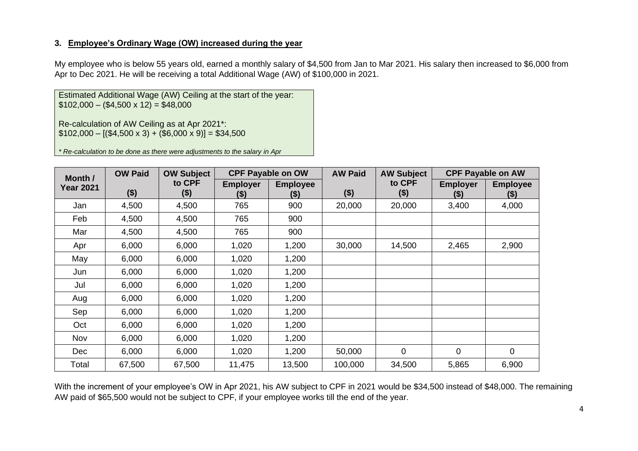## **3. Employee's Ordinary Wage (OW) increased during the year**

My employee who is below 55 years old, earned a monthly salary of \$4,500 from Jan to Mar 2021. His salary then increased to \$6,000 from Apr to Dec 2021. He will be receiving a total Additional Wage (AW) of \$100,000 in 2021.

Estimated Additional Wage (AW) Ceiling at the start of the year:  $$102,000 - ($4,500 \times 12) = $48,000$ 

Re-calculation of AW Ceiling as at Apr 2021\*:  $$102,000 - [($4,500 \times 3) + ($6,000 \times 9)] = $34,500$ 

*\* Re-calculation to be done as there were adjustments to the salary in Apr*

| Month /          | <b>OW Paid</b> | <b>OW Subject</b> |                            | <b>CPF Payable on OW</b> | <b>AW Paid</b> | <b>AW Subject</b> |                            | <b>CPF Payable on AW</b>   |
|------------------|----------------|-------------------|----------------------------|--------------------------|----------------|-------------------|----------------------------|----------------------------|
| <b>Year 2021</b> | ( \$)          | to CPF<br>\$)     | <b>Employer</b><br>$($ \$) | <b>Employee</b><br>(\$)  | $($ \$)        | to CPF<br>$($ \$) | <b>Employer</b><br>$($ \$) | <b>Employee</b><br>$($ \$) |
| Jan              | 4,500          | 4,500             | 765                        | 900                      | 20,000         | 20,000            | 3,400                      | 4,000                      |
| Feb              | 4,500          | 4,500             | 765                        | 900                      |                |                   |                            |                            |
| Mar              | 4,500          | 4,500             | 765                        | 900                      |                |                   |                            |                            |
| Apr              | 6,000          | 6,000             | 1,020                      | 1,200                    | 30,000         | 14,500            | 2,465                      | 2,900                      |
| May              | 6,000          | 6,000             | 1,020                      | 1,200                    |                |                   |                            |                            |
| Jun              | 6,000          | 6,000             | 1,020                      | 1,200                    |                |                   |                            |                            |
| Jul              | 6,000          | 6,000             | 1,020                      | 1,200                    |                |                   |                            |                            |
| Aug              | 6,000          | 6,000             | 1,020                      | 1,200                    |                |                   |                            |                            |
| Sep              | 6,000          | 6,000             | 1,020                      | 1,200                    |                |                   |                            |                            |
| Oct              | 6,000          | 6,000             | 1,020                      | 1,200                    |                |                   |                            |                            |
| Nov              | 6,000          | 6,000             | 1,020                      | 1,200                    |                |                   |                            |                            |
| <b>Dec</b>       | 6,000          | 6,000             | 1,020                      | 1,200                    | 50,000         | 0                 | $\mathbf 0$                | $\mathbf 0$                |
| Total            | 67,500         | 67,500            | 11,475                     | 13,500                   | 100,000        | 34,500            | 5,865                      | 6,900                      |

With the increment of your employee's OW in Apr 2021, his AW subject to CPF in 2021 would be \$34,500 instead of \$48,000. The remaining AW paid of \$65,500 would not be subject to CPF, if your employee works till the end of the year.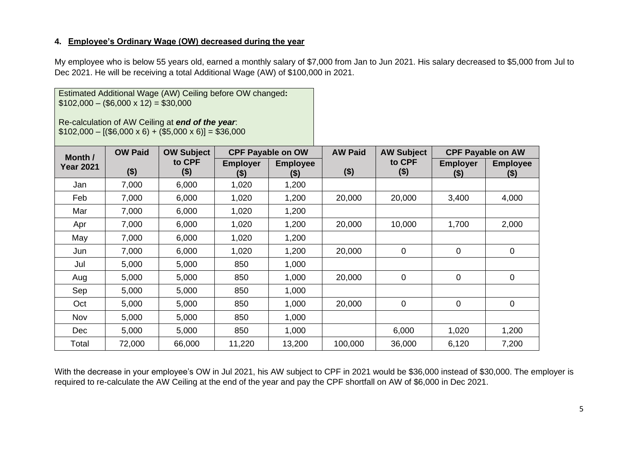## **4. Employee's Ordinary Wage (OW) decreased during the year**

Estimated Additional Wage (AW) Ceiling before OW changed**:**

My employee who is below 55 years old, earned a monthly salary of \$7,000 from Jan to Jun 2021. His salary decreased to \$5,000 from Jul to Dec 2021. He will be receiving a total Additional Wage (AW) of \$100,000 in 2021.

|                  | $$102,000 - ($6,000 \times 12) = $30,000$<br>Re-calculation of AW Ceiling at end of the year.<br>$$102,000 - [($6,000 \times 6) + ($5,000 \times 6)] = $36,000$<br><b>CPF Payable on OW</b><br><b>OW Paid</b><br><b>OW Subject</b><br>Month / |                   |                            |                            |         |                   |                            |                           |
|------------------|-----------------------------------------------------------------------------------------------------------------------------------------------------------------------------------------------------------------------------------------------|-------------------|----------------------------|----------------------------|---------|-------------------|----------------------------|---------------------------|
|                  |                                                                                                                                                                                                                                               |                   |                            |                            |         | <b>AW Subject</b> | <b>CPF Payable on AW</b>   |                           |
| <b>Year 2021</b> | $($ \$)                                                                                                                                                                                                                                       | to CPF<br>$($ \$) | <b>Employer</b><br>$($ \$) | <b>Employee</b><br>$($ \$) | $($ \$) | to CPF<br>$($ \$) | <b>Employer</b><br>$($ \$) | <b>Employee</b><br>$(\$)$ |
| Jan              | 7,000                                                                                                                                                                                                                                         | 6,000             | 1,020                      | 1,200                      |         |                   |                            |                           |
| Feb              | 7,000                                                                                                                                                                                                                                         | 6,000             | 1,020                      | 1,200                      | 20,000  | 20,000            | 3,400                      | 4,000                     |
| Mar              | 7,000                                                                                                                                                                                                                                         | 6,000             | 1,020                      | 1,200                      |         |                   |                            |                           |
| Apr              | 7,000                                                                                                                                                                                                                                         | 6,000             | 1,020                      | 1,200                      | 20,000  | 10,000            | 1,700                      | 2,000                     |
| May              | 7,000                                                                                                                                                                                                                                         | 6,000             | 1,020                      | 1,200                      |         |                   |                            |                           |
| Jun              | 7,000                                                                                                                                                                                                                                         | 6,000             | 1,020                      | 1,200                      | 20,000  | $\mathbf 0$       | $\mathbf 0$                | 0                         |
| Jul              | 5,000                                                                                                                                                                                                                                         | 5,000             | 850                        | 1,000                      |         |                   |                            |                           |
| Aug              | 5,000                                                                                                                                                                                                                                         | 5,000             | 850                        | 1,000                      | 20,000  | $\mathbf 0$       | $\mathbf 0$                | 0                         |
| Sep              | 5,000                                                                                                                                                                                                                                         | 5,000             | 850                        | 1,000                      |         |                   |                            |                           |
| Oct              | 5,000                                                                                                                                                                                                                                         | 5,000             | 850                        | 1,000                      | 20,000  | $\mathbf 0$       | $\mathbf 0$                | $\mathbf 0$               |
| Nov              | 5,000                                                                                                                                                                                                                                         | 5,000             | 850                        | 1,000                      |         |                   |                            |                           |
| <b>Dec</b>       | 5,000                                                                                                                                                                                                                                         | 5,000             | 850                        | 1,000                      |         | 6,000             | 1,020                      | 1,200                     |
| Total            | 72,000                                                                                                                                                                                                                                        | 66,000            | 11,220                     | 13,200                     | 100,000 | 36,000            | 6,120                      | 7,200                     |

With the decrease in your employee's OW in Jul 2021, his AW subject to CPF in 2021 would be \$36,000 instead of \$30,000. The employer is required to re-calculate the AW Ceiling at the end of the year and pay the CPF shortfall on AW of \$6,000 in Dec 2021.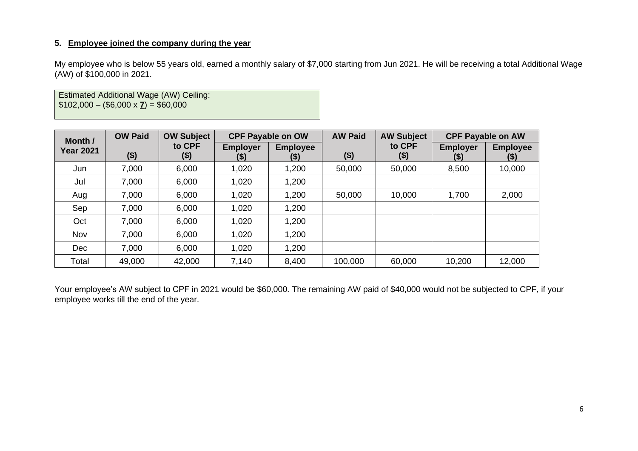### **5. Employee joined the company during the year**

My employee who is below 55 years old, earned a monthly salary of \$7,000 starting from Jun 2021. He will be receiving a total Additional Wage (AW) of \$100,000 in 2021.

Estimated Additional Wage (AW) Ceiling:  $$102,000 - ($6,000 \times **Z**) = $60,000$ 

| Month /          | <b>OW Paid</b> | <b>OW Subject</b> |                         | <b>CPF Payable on OW</b> | <b>AW Paid</b> | <b>AW Subject</b> |                            | <b>CPF Payable on AW</b>   |
|------------------|----------------|-------------------|-------------------------|--------------------------|----------------|-------------------|----------------------------|----------------------------|
| <b>Year 2021</b> | \$)            | to CPF<br>\$)     | <b>Employer</b><br>(\$) | <b>Employee</b><br>(\$)  | $($ \$)        | to CPF<br>$($ \$) | <b>Employer</b><br>$($ \$) | <b>Employee</b><br>$($ \$) |
| Jun              | 7,000          | 6,000             | 1,020                   | 1,200                    | 50,000         | 50,000            | 8,500                      | 10,000                     |
| Jul              | 7,000          | 6,000             | 1,020                   | 1,200                    |                |                   |                            |                            |
| Aug              | 7,000          | 6,000             | 1,020                   | 1,200                    | 50,000         | 10,000            | 1,700                      | 2,000                      |
| Sep              | 7,000          | 6,000             | 1,020                   | 1,200                    |                |                   |                            |                            |
| Oct              | 7,000          | 6,000             | 1,020                   | 1,200                    |                |                   |                            |                            |
| Nov              | 7,000          | 6,000             | 1,020                   | 1,200                    |                |                   |                            |                            |
| Dec              | 7,000          | 6,000             | 1,020                   | 1,200                    |                |                   |                            |                            |
| Total            | 49,000         | 42,000            | 7,140                   | 8,400                    | 100,000        | 60,000            | 10,200                     | 12,000                     |

Your employee's AW subject to CPF in 2021 would be \$60,000. The remaining AW paid of \$40,000 would not be subjected to CPF, if your employee works till the end of the year.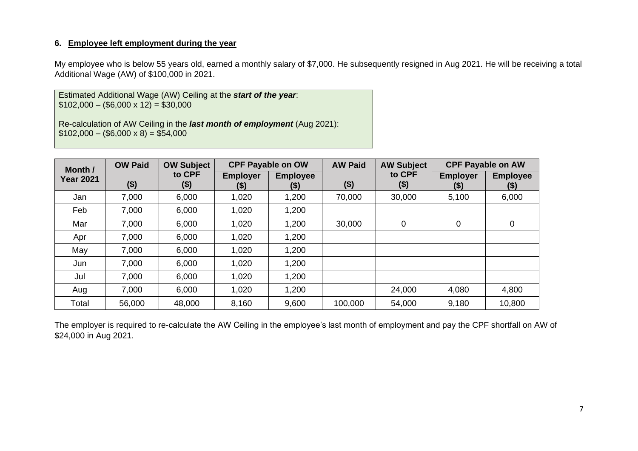My employee who is below 55 years old, earned a monthly salary of \$7,000. He subsequently resigned in Aug 2021. He will be receiving a total Additional Wage (AW) of \$100,000 in 2021.

Estimated Additional Wage (AW) Ceiling at the *start of the year*:  $$102,000 - ($6,000 \times 12) = $30,000$ 

Re-calculation of AW Ceiling in the *last month of employment* (Aug 2021):  $$102,000 - ($6,000 \times 8) = $54,000$ 

| Month /          | <b>OW Paid</b> | <b>OW Subject</b> |                           | <b>CPF Payable on OW</b> | <b>AW Paid</b> | <b>AW Subject</b> |                           | <b>CPF Payable on AW</b>   |
|------------------|----------------|-------------------|---------------------------|--------------------------|----------------|-------------------|---------------------------|----------------------------|
| <b>Year 2021</b> | \$)            | to CPF<br>(\$)    | <b>Employer</b><br>$(\$)$ | <b>Employee</b><br>(\$)  | $($ \$)        | to CPF<br>$($ \$) | <b>Employer</b><br>$(\$)$ | <b>Employee</b><br>$($ \$) |
| Jan              | 7,000          | 6,000             | 1,020                     | 1,200                    | 70,000         | 30,000            | 5,100                     | 6,000                      |
| Feb              | 7,000          | 6,000             | 1,020                     | 1,200                    |                |                   |                           |                            |
| Mar              | 7,000          | 6,000             | 1,020                     | 1,200                    | 30,000         | $\mathbf 0$       | $\mathbf 0$               | $\mathbf 0$                |
| Apr              | 7,000          | 6,000             | 1,020                     | 1,200                    |                |                   |                           |                            |
| May              | 7,000          | 6,000             | 1,020                     | 1,200                    |                |                   |                           |                            |
| Jun              | 7,000          | 6,000             | 1,020                     | 1,200                    |                |                   |                           |                            |
| Jul              | 7,000          | 6,000             | 1,020                     | 1,200                    |                |                   |                           |                            |
| Aug              | 7,000          | 6,000             | 1,020                     | 1,200                    |                | 24,000            | 4,080                     | 4,800                      |
| Total            | 56,000         | 48,000            | 8,160                     | 9,600                    | 100,000        | 54,000            | 9,180                     | 10,800                     |

The employer is required to re-calculate the AW Ceiling in the employee's last month of employment and pay the CPF shortfall on AW of \$24,000 in Aug 2021.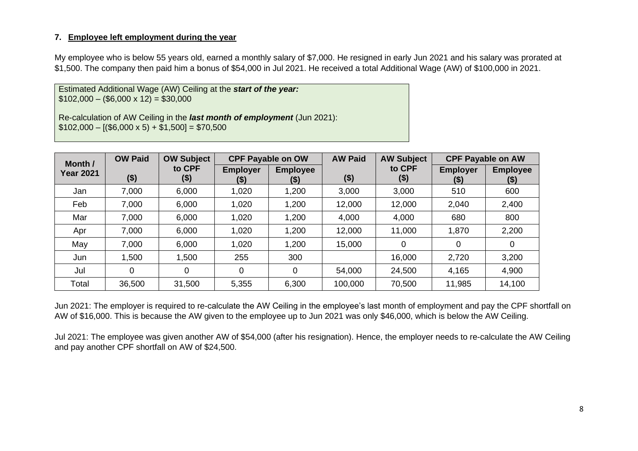My employee who is below 55 years old, earned a monthly salary of \$7,000. He resigned in early Jun 2021 and his salary was prorated at \$1,500. The company then paid him a bonus of \$54,000 in Jul 2021. He received a total Additional Wage (AW) of \$100,000 in 2021.

Estimated Additional Wage (AW) Ceiling at the *start of the year:*  $$102,000 - ($6,000 \times 12) = $30,000$ 

Re-calculation of AW Ceiling in the *last month of employment* (Jun 2021):  $$102,000 - [($6,000 \times 5) + $1,500] = $70,500$ 

| Month /          | <b>OW Paid</b> | <b>OW Subject</b> |                         | <b>CPF Payable on OW</b> | <b>AW Paid</b> | <b>AW Subject</b> |                            | <b>CPF Payable on AW</b>   |
|------------------|----------------|-------------------|-------------------------|--------------------------|----------------|-------------------|----------------------------|----------------------------|
| <b>Year 2021</b> | $($ \$)        | to CPF<br>(\$)    | <b>Employer</b><br>(\$) | <b>Employee</b><br>(\$)  | ( \$)          | to CPF<br>$($ \$) | <b>Employer</b><br>$($ \$) | <b>Employee</b><br>$($ \$) |
| Jan              | 7,000          | 6,000             | 1,020                   | 1,200                    | 3,000          | 3,000             | 510                        | 600                        |
| Feb              | 7,000          | 6,000             | 1,020                   | 1,200                    | 12,000         | 12,000            | 2,040                      | 2,400                      |
| Mar              | 7,000          | 6,000             | 1,020                   | 1,200                    | 4,000          | 4,000             | 680                        | 800                        |
| Apr              | 7,000          | 6,000             | 1,020                   | 1,200                    | 12,000         | 11,000            | 1,870                      | 2,200                      |
| May              | 7,000          | 6,000             | 1,020                   | 1,200                    | 15,000         | $\overline{0}$    | 0                          | 0                          |
| Jun              | 1,500          | 1,500             | 255                     | 300                      |                | 16,000            | 2,720                      | 3,200                      |
| Jul              | 0              | 0                 | $\overline{0}$          | 0                        | 54,000         | 24,500            | 4,165                      | 4,900                      |
| Total            | 36,500         | 31,500            | 5,355                   | 6,300                    | 100,000        | 70,500            | 11,985                     | 14,100                     |

Jun 2021: The employer is required to re-calculate the AW Ceiling in the employee's last month of employment and pay the CPF shortfall on AW of \$16,000. This is because the AW given to the employee up to Jun 2021 was only \$46,000, which is below the AW Ceiling.

Jul 2021: The employee was given another AW of \$54,000 (after his resignation). Hence, the employer needs to re-calculate the AW Ceiling and pay another CPF shortfall on AW of \$24,500.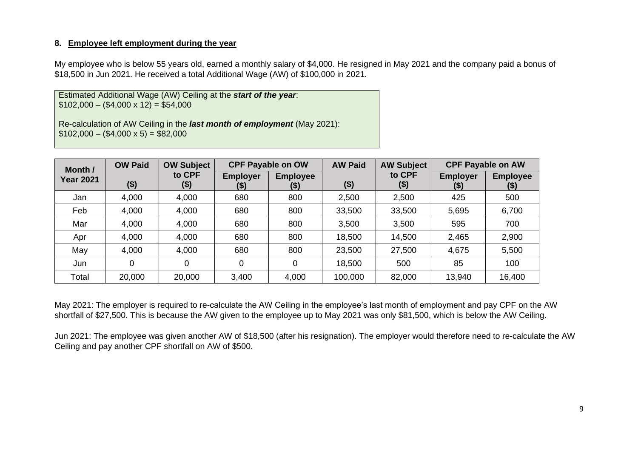My employee who is below 55 years old, earned a monthly salary of \$4,000. He resigned in May 2021 and the company paid a bonus of \$18,500 in Jun 2021. He received a total Additional Wage (AW) of \$100,000 in 2021.

Estimated Additional Wage (AW) Ceiling at the *start of the year*:  $$102,000 - ($4,000 \times 12) = $54,000$ 

Re-calculation of AW Ceiling in the *last month of employment* (May 2021):  $$102,000 - ($4,000 \times 5) = $82,000$ 

| Month /          | <b>OW Paid</b> | <b>OW Subject</b> |                         | <b>CPF Payable on OW</b> | <b>AW Paid</b> | <b>AW Subject</b> | <b>CPF Payable on AW</b>   |                           |
|------------------|----------------|-------------------|-------------------------|--------------------------|----------------|-------------------|----------------------------|---------------------------|
| <b>Year 2021</b> | $($ \$)        | to CPF<br>$($ \$) | <b>Employer</b><br>(\$) | <b>Employee</b><br>(5)   | ( \$)          | to CPF<br>$($ \$  | <b>Employer</b><br>$($ \$) | <b>Employee</b><br>$(\$)$ |
| Jan              | 4,000          | 4,000             | 680                     | 800                      | 2,500          | 2,500             | 425                        | 500                       |
| Feb              | 4,000          | 4,000             | 680                     | 800                      | 33,500         | 33,500            | 5,695                      | 6,700                     |
| Mar              | 4,000          | 4,000             | 680                     | 800                      | 3,500          | 3,500             | 595                        | 700                       |
| Apr              | 4,000          | 4,000             | 680                     | 800                      | 18,500         | 14,500            | 2,465                      | 2,900                     |
| May              | 4,000          | 4,000             | 680                     | 800                      | 23,500         | 27,500            | 4,675                      | 5,500                     |
| Jun              | 0              | 0                 | 0                       | 0                        | 18,500         | 500               | 85                         | 100                       |
| Total            | 20,000         | 20,000            | 3,400                   | 4,000                    | 100,000        | 82,000            | 13,940                     | 16,400                    |

May 2021: The employer is required to re-calculate the AW Ceiling in the employee's last month of employment and pay CPF on the AW shortfall of \$27,500. This is because the AW given to the employee up to May 2021 was only \$81,500, which is below the AW Ceiling.

Jun 2021: The employee was given another AW of \$18,500 (after his resignation). The employer would therefore need to re-calculate the AW Ceiling and pay another CPF shortfall on AW of \$500.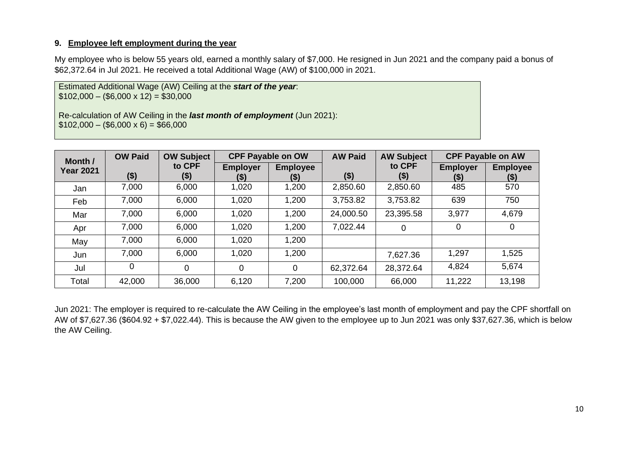My employee who is below 55 years old, earned a monthly salary of \$7,000. He resigned in Jun 2021 and the company paid a bonus of \$62,372.64 in Jul 2021. He received a total Additional Wage (AW) of \$100,000 in 2021.

Estimated Additional Wage (AW) Ceiling at the *start of the year*:  $$102,000 - ($6,000 \times 12) = $30,000$ 

Re-calculation of AW Ceiling in the *last month of employment* (Jun 2021):  $$102,000 - ($6,000 \times 6) = $66,000$ 

| Month /          | <b>OW Paid</b> | <b>OW Subject</b> |                         | <b>CPF Payable on OW</b> | <b>AW Paid</b> | <b>AW Subject</b> |                           | <b>CPF Payable on AW</b>  |
|------------------|----------------|-------------------|-------------------------|--------------------------|----------------|-------------------|---------------------------|---------------------------|
| <b>Year 2021</b> | $($ \$)        | to CPF<br>$($ \$) | <b>Employer</b><br>(\$) | <b>Employee</b><br>(\$)  | $($ \$)        | to CPF<br>$(\$)$  | <b>Employer</b><br>$(\$)$ | <b>Employee</b><br>$(\$)$ |
| Jan              | 7,000          | 6,000             | 1,020                   | 1,200                    | 2,850.60       | 2,850.60          | 485                       | 570                       |
| Feb              | 7,000          | 6,000             | 1,020                   | 1,200                    | 3,753.82       | 3,753.82          | 639                       | 750                       |
| Mar              | 7,000          | 6,000             | 1,020                   | 1,200                    | 24,000.50      | 23,395.58         | 3,977                     | 4,679                     |
| Apr              | 7,000          | 6,000             | 1,020                   | 1,200                    | 7,022.44       | $\mathbf 0$       | 0                         | 0                         |
| May              | 7,000          | 6,000             | 1,020                   | 1,200                    |                |                   |                           |                           |
| Jun              | 7,000          | 6,000             | 1,020                   | 1,200                    |                | 7,627.36          | 1,297                     | 1,525                     |
| Jul              | 0              | 0                 | 0                       | 0                        | 62,372.64      | 28,372.64         | 4,824                     | 5,674                     |
| Total            | 42,000         | 36,000            | 6,120                   | 7,200                    | 100,000        | 66,000            | 11,222                    | 13,198                    |

Jun 2021: The employer is required to re-calculate the AW Ceiling in the employee's last month of employment and pay the CPF shortfall on AW of \$7,627.36 (\$604.92 + \$7,022.44). This is because the AW given to the employee up to Jun 2021 was only \$37,627.36, which is below the AW Ceiling.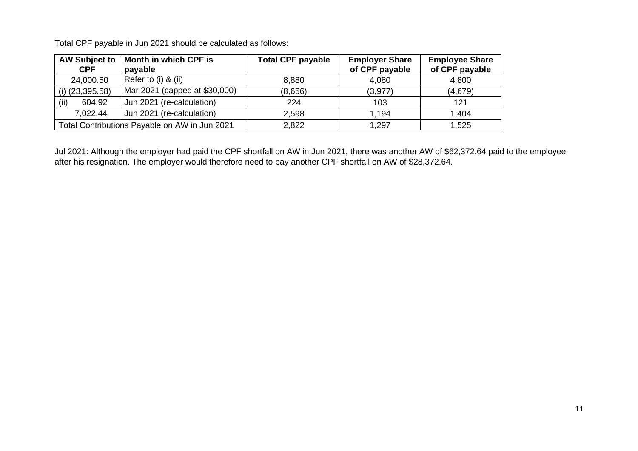Total CPF payable in Jun 2021 should be calculated as follows:

| <b>AW Subject to</b><br><b>CPF</b> | Month in which CPF is<br>payable              | <b>Total CPF payable</b> | <b>Employer Share</b><br>of CPF payable | <b>Employee Share</b><br>of CPF payable |
|------------------------------------|-----------------------------------------------|--------------------------|-----------------------------------------|-----------------------------------------|
| 24,000.50                          | Refer to (i) & (ii)                           | 8,880                    | 4,080                                   | 4,800                                   |
| $(i)$ (23,395.58)                  | Mar 2021 (capped at \$30,000)                 | (8,656)                  | (3,977)                                 | (4,679)                                 |
| (iii)<br>604.92                    | Jun 2021 (re-calculation)                     | 224                      | 103                                     | 121                                     |
| 7,022.44                           | Jun 2021 (re-calculation)                     | 2,598                    | 1.194                                   | 1,404                                   |
|                                    | Total Contributions Payable on AW in Jun 2021 | 2,822                    | 1,297                                   | 1,525                                   |

Jul 2021: Although the employer had paid the CPF shortfall on AW in Jun 2021, there was another AW of \$62,372.64 paid to the employee after his resignation. The employer would therefore need to pay another CPF shortfall on AW of \$28,372.64.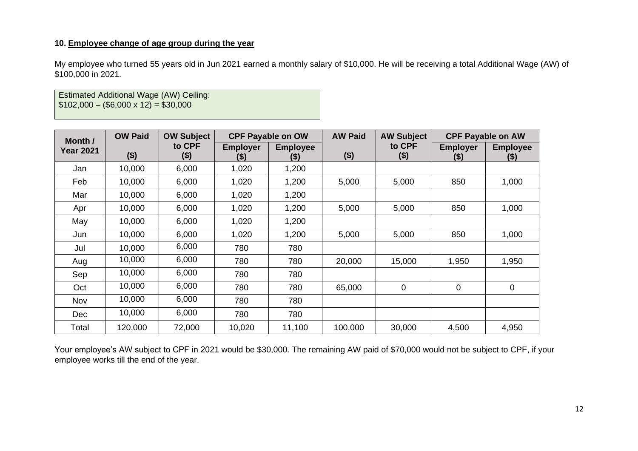## **10. Employee change of age group during the year**

My employee who turned 55 years old in Jun 2021 earned a monthly salary of \$10,000. He will be receiving a total Additional Wage (AW) of \$100,000 in 2021.

Estimated Additional Wage (AW) Ceiling:  $$102,000 - ($6,000 \times 12) = $30,000$ 

| Month /          | <b>OW Paid</b> | <b>OW Subject</b> |                         | <b>CPF Payable on OW</b> | <b>AW Paid</b> | <b>AW Subject</b> |                            | <b>CPF Payable on AW</b>   |
|------------------|----------------|-------------------|-------------------------|--------------------------|----------------|-------------------|----------------------------|----------------------------|
| <b>Year 2021</b> | $($ \$)        | to CPF<br>(\$)    | <b>Employer</b><br>(\$) | <b>Employee</b><br>(\$)  | $($ \$)        | to CPF<br>$($ \$) | <b>Employer</b><br>$($ \$) | <b>Employee</b><br>$($ \$) |
| Jan              | 10,000         | 6,000             | 1,020                   | 1,200                    |                |                   |                            |                            |
| Feb              | 10,000         | 6,000             | 1,020                   | 1,200                    | 5,000          | 5,000             | 850                        | 1,000                      |
| Mar              | 10,000         | 6,000             | 1,020                   | 1,200                    |                |                   |                            |                            |
| Apr              | 10,000         | 6,000             | 1,020                   | 1,200                    | 5,000          | 5,000             | 850                        | 1,000                      |
| May              | 10,000         | 6,000             | 1,020                   | 1,200                    |                |                   |                            |                            |
| Jun              | 10,000         | 6,000             | 1,020                   | 1,200                    | 5,000          | 5,000             | 850                        | 1,000                      |
| Jul              | 10,000         | 6,000             | 780                     | 780                      |                |                   |                            |                            |
| Aug              | 10,000         | 6,000             | 780                     | 780                      | 20,000         | 15,000            | 1,950                      | 1,950                      |
| Sep              | 10,000         | 6,000             | 780                     | 780                      |                |                   |                            |                            |
| Oct              | 10,000         | 6,000             | 780                     | 780                      | 65,000         | $\mathbf 0$       | $\mathbf 0$                | $\overline{0}$             |
| Nov              | 10,000         | 6,000             | 780                     | 780                      |                |                   |                            |                            |
| <b>Dec</b>       | 10,000         | 6,000             | 780                     | 780                      |                |                   |                            |                            |
| Total            | 120,000        | 72,000            | 10,020                  | 11,100                   | 100,000        | 30,000            | 4,500                      | 4,950                      |

Your employee's AW subject to CPF in 2021 would be \$30,000. The remaining AW paid of \$70,000 would not be subject to CPF, if your employee works till the end of the year.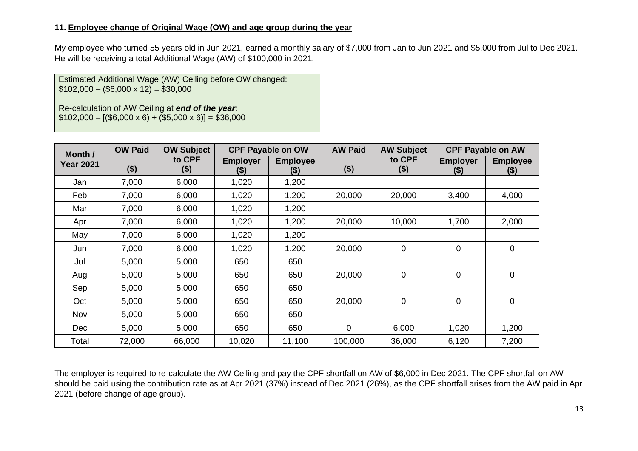#### **11. Employee change of Original Wage (OW) and age group during the year**

My employee who turned 55 years old in Jun 2021, earned a monthly salary of \$7,000 from Jan to Jun 2021 and \$5,000 from Jul to Dec 2021. He will be receiving a total Additional Wage (AW) of \$100,000 in 2021.

Estimated Additional Wage (AW) Ceiling before OW changed:  $$102,000 - ($6,000 \times 12) = $30,000$ 

Re-calculation of AW Ceiling at *end of the year*:  $$102,000 - [($6,000 \times 6) + ($5,000 \times 6)] = $36,000$ 

| Month /          | <b>OW Paid</b> | <b>OW Subject</b> |                           | <b>CPF Payable on OW</b>   | <b>AW Paid</b> | <b>AW Subject</b> |                            | <b>CPF Payable on AW</b>   |
|------------------|----------------|-------------------|---------------------------|----------------------------|----------------|-------------------|----------------------------|----------------------------|
| <b>Year 2021</b> | $($ \$)        | to CPF<br>\$)     | <b>Employer</b><br>$($ \$ | <b>Employee</b><br>$($ \$) | $($ \$)        | to CPF<br>$($ \$) | <b>Employer</b><br>$($ \$) | <b>Employee</b><br>$($ \$) |
| Jan              | 7,000          | 6,000             | 1,020                     | 1,200                      |                |                   |                            |                            |
| Feb              | 7,000          | 6,000             | 1,020                     | 1,200                      | 20,000         | 20,000            | 3,400                      | 4,000                      |
| Mar              | 7,000          | 6,000             | 1,020                     | 1,200                      |                |                   |                            |                            |
| Apr              | 7,000          | 6,000             | 1,020                     | 1,200                      | 20,000         | 10,000            | 1,700                      | 2,000                      |
| May              | 7,000          | 6,000             | 1,020                     | 1,200                      |                |                   |                            |                            |
| Jun              | 7,000          | 6,000             | 1,020                     | 1,200                      | 20,000         | $\mathbf 0$       | 0                          | $\mathbf 0$                |
| Jul              | 5,000          | 5,000             | 650                       | 650                        |                |                   |                            |                            |
| Aug              | 5,000          | 5,000             | 650                       | 650                        | 20,000         | $\mathbf 0$       | 0                          | 0                          |
| Sep              | 5,000          | 5,000             | 650                       | 650                        |                |                   |                            |                            |
| Oct              | 5,000          | 5,000             | 650                       | 650                        | 20,000         | $\mathbf 0$       | 0                          | $\mathbf 0$                |
| Nov              | 5,000          | 5,000             | 650                       | 650                        |                |                   |                            |                            |
| <b>Dec</b>       | 5,000          | 5,000             | 650                       | 650                        | $\overline{0}$ | 6,000             | 1,020                      | 1,200                      |
| Total            | 72,000         | 66,000            | 10,020                    | 11,100                     | 100,000        | 36,000            | 6,120                      | 7,200                      |

The employer is required to re-calculate the AW Ceiling and pay the CPF shortfall on AW of \$6,000 in Dec 2021. The CPF shortfall on AW should be paid using the contribution rate as at Apr 2021 (37%) instead of Dec 2021 (26%), as the CPF shortfall arises from the AW paid in Apr 2021 (before change of age group).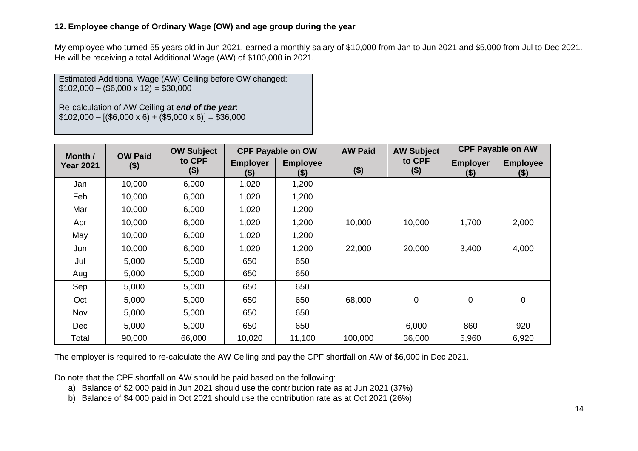### **12. Employee change of Ordinary Wage (OW) and age group during the year**

My employee who turned 55 years old in Jun 2021, earned a monthly salary of \$10,000 from Jan to Jun 2021 and \$5,000 from Jul to Dec 2021. He will be receiving a total Additional Wage (AW) of \$100,000 in 2021.

Estimated Additional Wage (AW) Ceiling before OW changed:  $$102,000 - ($6,000 \times 12) = $30,000$ 

Re-calculation of AW Ceiling at *end of the year*:  $$102,000 - [($6,000 \times 6) + ($5,000 \times 6)] = $36,000$ 

|                  | <b>OW Paid</b><br>Month / |                   |                         | <b>CPF Payable on OW</b> | <b>AW Paid</b> | <b>CPF Payable on AW</b><br><b>AW Subject</b> |                            |                            |
|------------------|---------------------------|-------------------|-------------------------|--------------------------|----------------|-----------------------------------------------|----------------------------|----------------------------|
| <b>Year 2021</b> | $($ \$)                   | to CPF<br>$($ \$) | <b>Employer</b><br>(\$) | <b>Employee</b><br>(\$)  | $($ \$)        | to CPF<br>\$)                                 | <b>Employer</b><br>$($ \$) | <b>Employee</b><br>$($ \$) |
| Jan              | 10,000                    | 6,000             | 1,020                   | 1,200                    |                |                                               |                            |                            |
| Feb              | 10,000                    | 6,000             | 1,020                   | 1,200                    |                |                                               |                            |                            |
| Mar              | 10,000                    | 6,000             | 1,020                   | 1,200                    |                |                                               |                            |                            |
| Apr              | 10,000                    | 6,000             | 1,020                   | 1,200                    | 10,000         | 10,000                                        | 1,700                      | 2,000                      |
| May              | 10,000                    | 6,000             | 1,020                   | 1,200                    |                |                                               |                            |                            |
| Jun              | 10,000                    | 6,000             | 1,020                   | 1,200                    | 22,000         | 20,000                                        | 3,400                      | 4,000                      |
| Jul              | 5,000                     | 5,000             | 650                     | 650                      |                |                                               |                            |                            |
| Aug              | 5,000                     | 5,000             | 650                     | 650                      |                |                                               |                            |                            |
| Sep              | 5,000                     | 5,000             | 650                     | 650                      |                |                                               |                            |                            |
| Oct              | 5,000                     | 5,000             | 650                     | 650                      | 68,000         | $\overline{0}$                                | 0                          | 0                          |
| Nov              | 5,000                     | 5,000             | 650                     | 650                      |                |                                               |                            |                            |
| <b>Dec</b>       | 5,000                     | 5,000             | 650                     | 650                      |                | 6,000                                         | 860                        | 920                        |
| Total            | 90,000                    | 66,000            | 10,020                  | 11,100                   | 100,000        | 36,000                                        | 5,960                      | 6,920                      |

The employer is required to re-calculate the AW Ceiling and pay the CPF shortfall on AW of \$6,000 in Dec 2021.

Do note that the CPF shortfall on AW should be paid based on the following:

a) Balance of \$2,000 paid in Jun 2021 should use the contribution rate as at Jun 2021 (37%)

b) Balance of \$4,000 paid in Oct 2021 should use the contribution rate as at Oct 2021 (26%)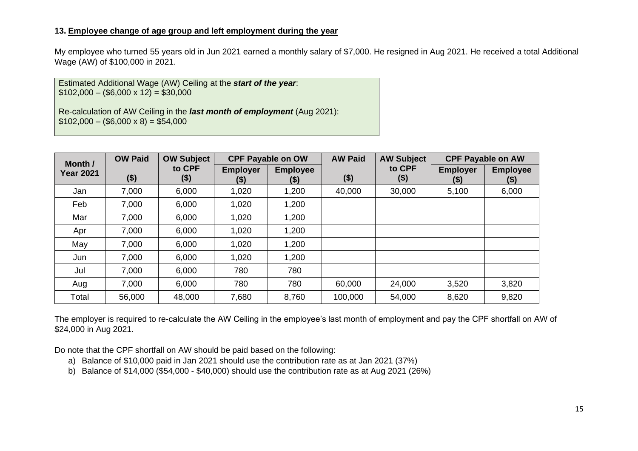#### **13. Employee change of age group and left employment during the year**

My employee who turned 55 years old in Jun 2021 earned a monthly salary of \$7,000. He resigned in Aug 2021. He received a total Additional Wage (AW) of \$100,000 in 2021.

Estimated Additional Wage (AW) Ceiling at the *start of the year*:  $$102,000 - ($6,000 \times 12) = $30,000$ 

Re-calculation of AW Ceiling in the *last month of employment* (Aug 2021):  $$102,000 - ($6,000 \times 8) = $54,000$ 

| Month /          | <b>OW Paid</b> | <b>OW Subject</b> |                        | <b>CPF Payable on OW</b>  |         | <b>AW Subject</b> |                           | <b>CPF Payable on AW</b>  |
|------------------|----------------|-------------------|------------------------|---------------------------|---------|-------------------|---------------------------|---------------------------|
| <b>Year 2021</b> | $($ \$)        | to CPF<br>(\$)    | <b>Employer</b><br>(5) | <b>Employee</b><br>$($ \$ | \$)     | to CPF<br>$($ \$) | <b>Employer</b><br>$(\$)$ | <b>Employee</b><br>$(\$)$ |
| Jan              | 7,000          | 6,000             | 1,020                  | 1,200                     | 40,000  | 30,000            | 5,100                     | 6,000                     |
| Feb              | 7,000          | 6,000             | 1,020                  | 1,200                     |         |                   |                           |                           |
| Mar              | 7,000          | 6,000             | 1,020                  | 1,200                     |         |                   |                           |                           |
| Apr              | 7,000          | 6,000             | 1,020                  | 1,200                     |         |                   |                           |                           |
| May              | 7,000          | 6,000             | 1,020                  | 1,200                     |         |                   |                           |                           |
| Jun              | 7,000          | 6,000             | 1,020                  | 1,200                     |         |                   |                           |                           |
| Jul              | 7,000          | 6,000             | 780                    | 780                       |         |                   |                           |                           |
| Aug              | 7,000          | 6,000             | 780                    | 780                       | 60,000  | 24,000            | 3,520                     | 3,820                     |
| Total            | 56,000         | 48,000            | 7,680                  | 8,760                     | 100,000 | 54,000            | 8,620                     | 9,820                     |

The employer is required to re-calculate the AW Ceiling in the employee's last month of employment and pay the CPF shortfall on AW of \$24,000 in Aug 2021.

Do note that the CPF shortfall on AW should be paid based on the following:

- a) Balance of \$10,000 paid in Jan 2021 should use the contribution rate as at Jan 2021 (37%)
- b) Balance of \$14,000 (\$54,000 \$40,000) should use the contribution rate as at Aug 2021 (26%)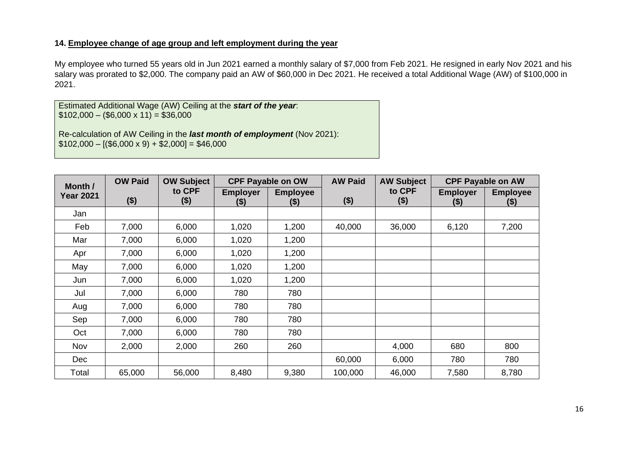### **14. Employee change of age group and left employment during the year**

My employee who turned 55 years old in Jun 2021 earned a monthly salary of \$7,000 from Feb 2021. He resigned in early Nov 2021 and his salary was prorated to \$2,000. The company paid an AW of \$60,000 in Dec 2021. He received a total Additional Wage (AW) of \$100,000 in 2021.

Estimated Additional Wage (AW) Ceiling at the *start of the year*:  $$102,000 - ($6,000 \times 11) = $36,000$ 

Re-calculation of AW Ceiling in the *last month of employment* (Nov 2021):  $$102,000 - [($6,000 \times 9) + $2,000] = $46,000$ 

| <b>OW Paid</b><br>Month / |        | <b>OW Subject</b> | <b>CPF Payable on OW</b>  |                            | <b>AW Paid</b> | <b>AW Subject</b> | <b>CPF Payable on AW</b>   |                            |
|---------------------------|--------|-------------------|---------------------------|----------------------------|----------------|-------------------|----------------------------|----------------------------|
| <b>Year 2021</b>          | ( \$ ) | to CPF<br>$($ \$) | <b>Employer</b><br>$(\$)$ | <b>Employee</b><br>$($ \$) | $($ \$)        | to CPF<br>$($ \$) | <b>Employer</b><br>$($ \$) | <b>Employee</b><br>$($ \$) |
| Jan                       |        |                   |                           |                            |                |                   |                            |                            |
| Feb                       | 7,000  | 6,000             | 1,020                     | 1,200                      | 40,000         | 36,000            | 6,120                      | 7,200                      |
| Mar                       | 7,000  | 6,000             | 1,020                     | 1,200                      |                |                   |                            |                            |
| Apr                       | 7,000  | 6,000             | 1,020                     | 1,200                      |                |                   |                            |                            |
| May                       | 7,000  | 6,000             | 1,020                     | 1,200                      |                |                   |                            |                            |
| Jun                       | 7,000  | 6,000             | 1,020                     | 1,200                      |                |                   |                            |                            |
| Jul                       | 7,000  | 6,000             | 780                       | 780                        |                |                   |                            |                            |
| Aug                       | 7,000  | 6,000             | 780                       | 780                        |                |                   |                            |                            |
| Sep                       | 7,000  | 6,000             | 780                       | 780                        |                |                   |                            |                            |
| Oct                       | 7,000  | 6,000             | 780                       | 780                        |                |                   |                            |                            |
| Nov                       | 2,000  | 2,000             | 260                       | 260                        |                | 4,000             | 680                        | 800                        |
| <b>Dec</b>                |        |                   |                           |                            | 60,000         | 6,000             | 780                        | 780                        |
| Total                     | 65,000 | 56,000            | 8,480                     | 9,380                      | 100,000        | 46,000            | 7,580                      | 8,780                      |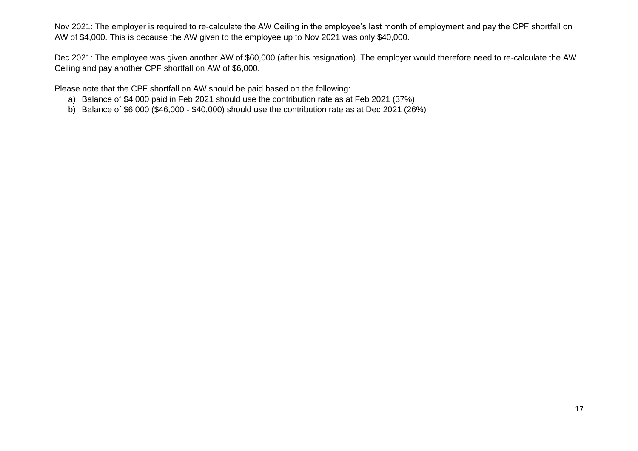Nov 2021: The employer is required to re-calculate the AW Ceiling in the employee's last month of employment and pay the CPF shortfall on AW of \$4,000. This is because the AW given to the employee up to Nov 2021 was only \$40,000.

Dec 2021: The employee was given another AW of \$60,000 (after his resignation). The employer would therefore need to re-calculate the AW Ceiling and pay another CPF shortfall on AW of \$6,000.

Please note that the CPF shortfall on AW should be paid based on the following:

- a) Balance of \$4,000 paid in Feb 2021 should use the contribution rate as at Feb 2021 (37%)
- b) Balance of \$6,000 (\$46,000 \$40,000) should use the contribution rate as at Dec 2021 (26%)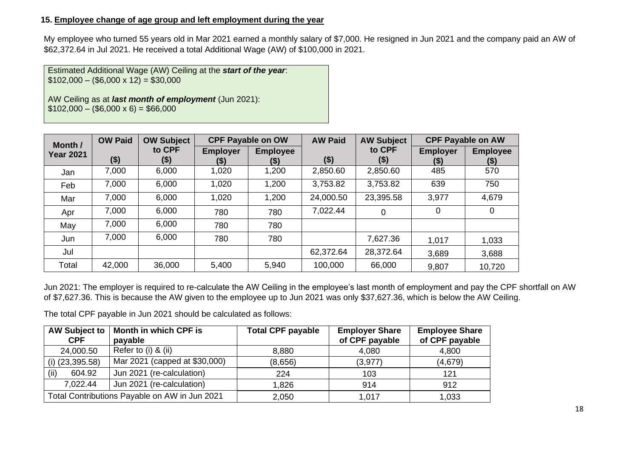## **15. Employee change of age group and left employment during the year**

My employee who turned 55 years old in Mar 2021 earned a monthly salary of \$7,000. He resigned in Jun 2021 and the company paid an AW of \$62,372.64 in Jul 2021. He received a total Additional Wage (AW) of \$100,000 in 2021.

Estimated Additional Wage (AW) Ceiling at the *start of the year*:  $$102,000 - ($6,000 \times 12) = $30,000$ 

AW Ceiling as at *last month of employment* (Jun 2021):  $$102,000 - ($6,000 \times 6) = $66,000$ 

| Month /          | <b>OW Paid</b><br><b>OW Subject</b> |                |                         | <b>CPF Payable on OW</b> |           | <b>AW Subject</b> | <b>CPF Payable on AW</b> |                           |
|------------------|-------------------------------------|----------------|-------------------------|--------------------------|-----------|-------------------|--------------------------|---------------------------|
| <b>Year 2021</b> | $($ \$)                             | to CPF<br>(\$) | <b>Employer</b><br>(\$) | <b>Employee</b><br>(\$)  | $($ \$)   | to CPF<br>$($ \$) | <b>Employer</b><br>(\$)  | <b>Employee</b><br>$(\$)$ |
| Jan              | 7,000                               | 6,000          | 1,020                   | 1,200                    | 2,850.60  | 2,850.60          | 485                      | 570                       |
| Feb              | 7,000                               | 6,000          | 1,020                   | 1,200                    | 3,753.82  | 3,753.82          | 639                      | 750                       |
| Mar              | 7,000                               | 6,000          | 1,020                   | 1,200                    | 24,000.50 | 23,395.58         | 3,977                    | 4,679                     |
| Apr              | 7,000                               | 6,000          | 780                     | 780                      | 7,022.44  | 0                 | 0                        | 0                         |
| May              | 7,000                               | 6,000          | 780                     | 780                      |           |                   |                          |                           |
| Jun              | 7,000                               | 6,000          | 780                     | 780                      |           | 7,627.36          | 1,017                    | 1,033                     |
| Jul              |                                     |                |                         |                          | 62,372.64 | 28,372.64         | 3,689                    | 3,688                     |
| Total            | 42,000                              | 36,000         | 5,400                   | 5,940                    | 100,000   | 66,000            | 9,807                    | 10,720                    |

Jun 2021: The employer is required to re-calculate the AW Ceiling in the employee's last month of employment and pay the CPF shortfall on AW of \$7,627.36. This is because the AW given to the employee up to Jun 2021 was only \$37,627.36, which is below the AW Ceiling.

The total CPF payable in Jun 2021 should be calculated as follows:

| <b>AW Subject to</b><br><b>CPF</b> | Month in which CPF is<br>payable              | <b>Total CPF payable</b> | <b>Employer Share</b><br>of CPF payable | <b>Employee Share</b><br>of CPF payable |
|------------------------------------|-----------------------------------------------|--------------------------|-----------------------------------------|-----------------------------------------|
| 24,000.50                          | Refer to (i) & (ii)                           | 8,880                    | 4,080                                   | 4,800                                   |
| $(i)$ (23,395.58)                  | Mar 2021 (capped at \$30,000)                 | (8,656)                  | (3, 977)                                | (4,679)                                 |
| (iii)<br>604.92                    | Jun 2021 (re-calculation)                     | 224                      | 103                                     | 121                                     |
| 7,022.44                           | Jun 2021 (re-calculation)                     | 1,826                    | 914                                     | 912                                     |
|                                    | Total Contributions Payable on AW in Jun 2021 | 2,050                    | 1,017                                   | 1,033                                   |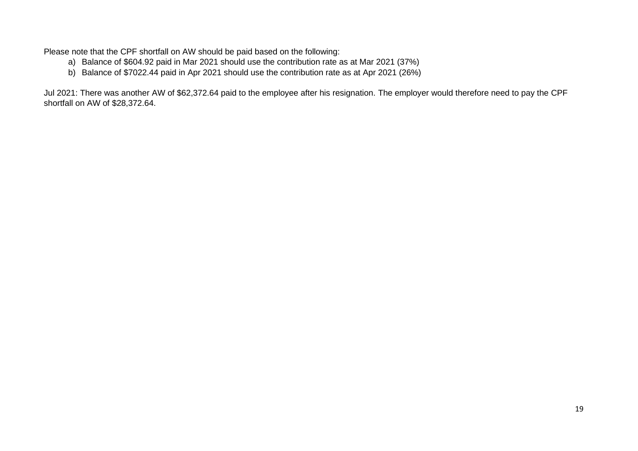Please note that the CPF shortfall on AW should be paid based on the following:

- a) Balance of \$604.92 paid in Mar 2021 should use the contribution rate as at Mar 2021 (37%)
- b) Balance of \$7022.44 paid in Apr 2021 should use the contribution rate as at Apr 2021 (26%)

Jul 2021: There was another AW of \$62,372.64 paid to the employee after his resignation. The employer would therefore need to pay the CPF shortfall on AW of \$28,372.64.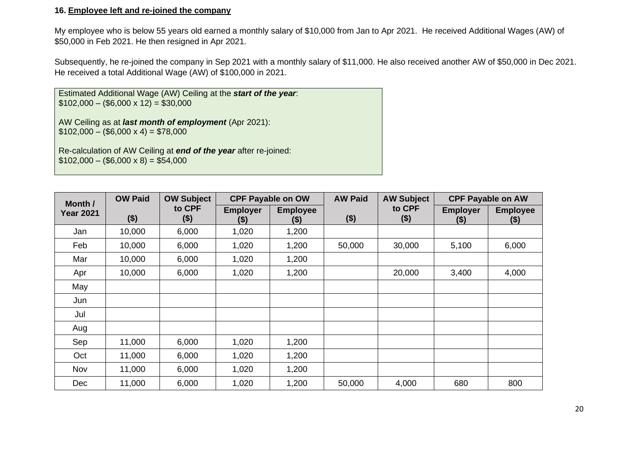#### **16. Employee left and re-joined the company**

My employee who is below 55 years old earned a monthly salary of \$10,000 from Jan to Apr 2021. He received Additional Wages (AW) of \$50,000 in Feb 2021. He then resigned in Apr 2021.

Subsequently, he re-joined the company in Sep 2021 with a monthly salary of \$11,000. He also received another AW of \$50,000 in Dec 2021. He received a total Additional Wage (AW) of \$100,000 in 2021.

Estimated Additional Wage (AW) Ceiling at the *start of the year*:  $$102,000 - ($6,000 \times 12) = $30,000$ 

AW Ceiling as at *last month of employment* (Apr 2021):  $$102,000 - ($6,000 \times 4) = $78,000$ 

Re-calculation of AW Ceiling at *end of the year* after re-joined:  $$102,000 - ($6,000 \times 8) = $54,000$ 

| Month /          | <b>OW Paid</b> | <b>OW Subject</b> | <b>CPF Payable on OW</b>  |                         | <b>AW Paid</b> | <b>AW Subject</b> |                          | <b>CPF Payable on AW</b> |
|------------------|----------------|-------------------|---------------------------|-------------------------|----------------|-------------------|--------------------------|--------------------------|
| <b>Year 2021</b> | $($ \$)        | to CPF<br>$($ \$) | <b>Employer</b><br>$(\$)$ | <b>Employee</b><br>(\$) | $($ \$)        | to CPF<br>$($ \$) | <b>Employer</b><br>$($)$ | <b>Employee</b><br>$($)$ |
| Jan              | 10,000         | 6,000             | 1,020                     | 1,200                   |                |                   |                          |                          |
| Feb              | 10,000         | 6,000             | 1,020                     | 1,200                   | 50,000         | 30,000            | 5,100                    | 6,000                    |
| Mar              | 10,000         | 6,000             | 1,020                     | 1,200                   |                |                   |                          |                          |
| Apr              | 10,000         | 6,000             | 1,020                     | 1,200                   |                | 20,000            | 3,400                    | 4,000                    |
| May              |                |                   |                           |                         |                |                   |                          |                          |
| Jun              |                |                   |                           |                         |                |                   |                          |                          |
| Jul              |                |                   |                           |                         |                |                   |                          |                          |
| Aug              |                |                   |                           |                         |                |                   |                          |                          |
| Sep              | 11,000         | 6,000             | 1,020                     | 1,200                   |                |                   |                          |                          |
| Oct              | 11,000         | 6,000             | 1,020                     | 1,200                   |                |                   |                          |                          |
| Nov              | 11,000         | 6,000             | 1,020                     | 1,200                   |                |                   |                          |                          |
| Dec              | 11,000         | 6,000             | 1,020                     | 1,200                   | 50,000         | 4,000             | 680                      | 800                      |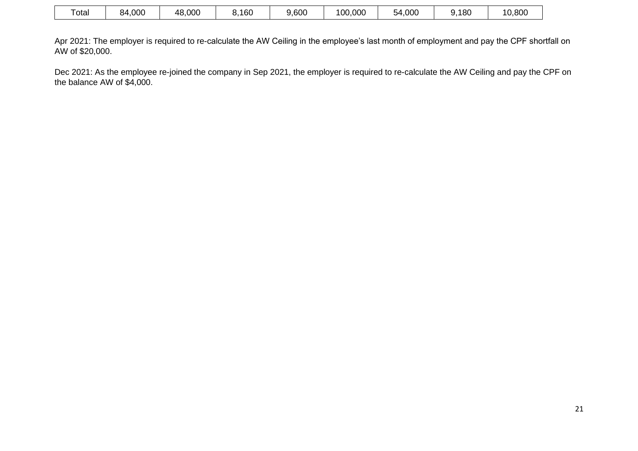| otal | 4,000<br>84 | 48,000 | 160 | 9,600 | ,000<br>00 | 54,000 | 9.180 | 10,800 |
|------|-------------|--------|-----|-------|------------|--------|-------|--------|
|------|-------------|--------|-----|-------|------------|--------|-------|--------|

Apr 2021: The employer is required to re-calculate the AW Ceiling in the employee's last month of employment and pay the CPF shortfall on AW of \$20,000.

Dec 2021: As the employee re-joined the company in Sep 2021, the employer is required to re-calculate the AW Ceiling and pay the CPF on the balance AW of \$4,000.